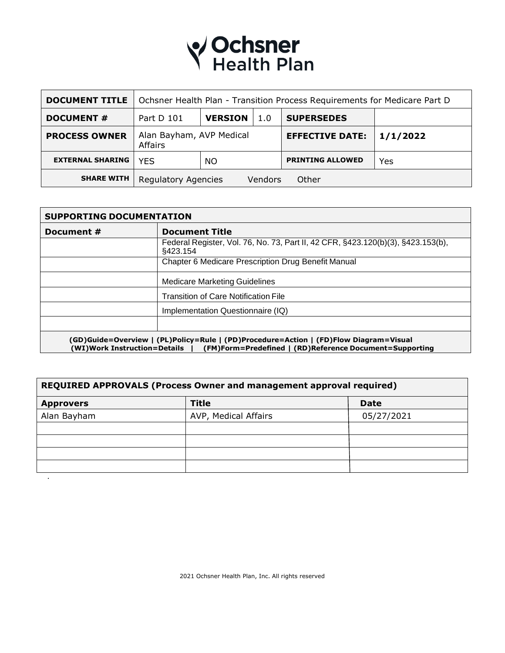# **V Ochsner**<br>Health Plan

| <b>DOCUMENT TITLE</b>   | Ochsner Health Plan - Transition Process Requirements for Medicare Part D |                |                        |                         |     |
|-------------------------|---------------------------------------------------------------------------|----------------|------------------------|-------------------------|-----|
| <b>DOCUMENT #</b>       | Part D 101                                                                | <b>VERSION</b> | 1.0                    | <b>SUPERSEDES</b>       |     |
| <b>PROCESS OWNER</b>    | Alan Bayham, AVP Medical<br>Affairs                                       |                | <b>EFFECTIVE DATE:</b> | 1/1/2022                |     |
| <b>EXTERNAL SHARING</b> | <b>YES</b>                                                                | NO.            |                        | <b>PRINTING ALLOWED</b> | Yes |
| <b>SHARE WITH</b>       | <b>Regulatory Agencies</b>                                                |                | Vendors                | Other                   |     |

| Document # | <b>Document Title</b>                                                                         |  |  |
|------------|-----------------------------------------------------------------------------------------------|--|--|
|            | Federal Register, Vol. 76, No. 73, Part II, 42 CFR, §423.120(b)(3), §423.153(b),<br>\$423.154 |  |  |
|            | Chapter 6 Medicare Prescription Drug Benefit Manual                                           |  |  |
|            | <b>Medicare Marketing Guidelines</b>                                                          |  |  |
|            | <b>Transition of Care Notification File</b>                                                   |  |  |
|            | Implementation Questionnaire (IQ)                                                             |  |  |
|            |                                                                                               |  |  |

| REQUIRED APPROVALS (Process Owner and management approval required) |                      |             |  |
|---------------------------------------------------------------------|----------------------|-------------|--|
| <b>Approvers</b>                                                    | <b>Title</b>         | <b>Date</b> |  |
| Alan Bayham                                                         | AVP, Medical Affairs | 05/27/2021  |  |
|                                                                     |                      |             |  |
|                                                                     |                      |             |  |
|                                                                     |                      |             |  |
|                                                                     |                      |             |  |
|                                                                     |                      |             |  |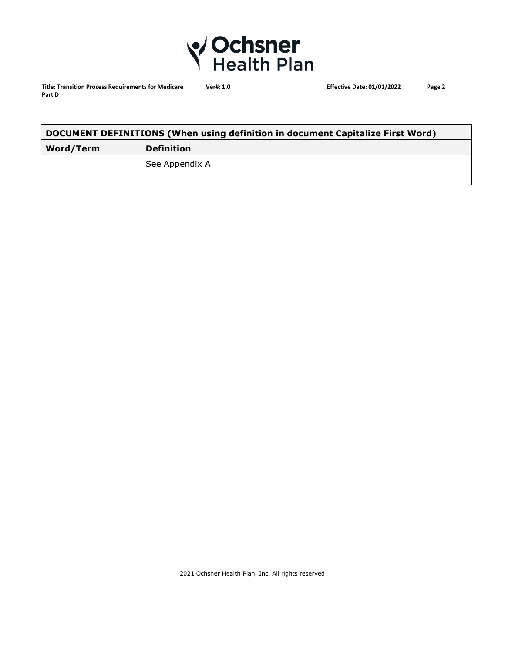

**Title: Transition Process Requirements for Medicare Ver#: 1.0 Effective Date: 01/01/2022 Page 2 Part D**

| DOCUMENT DEFINITIONS (When using definition in document Capitalize First Word) |                   |  |
|--------------------------------------------------------------------------------|-------------------|--|
| <b>Word/Term</b>                                                               | <b>Definition</b> |  |
|                                                                                | See Appendix A    |  |
|                                                                                |                   |  |

2021 Ochsner Health Plan, Inc. All rights reserved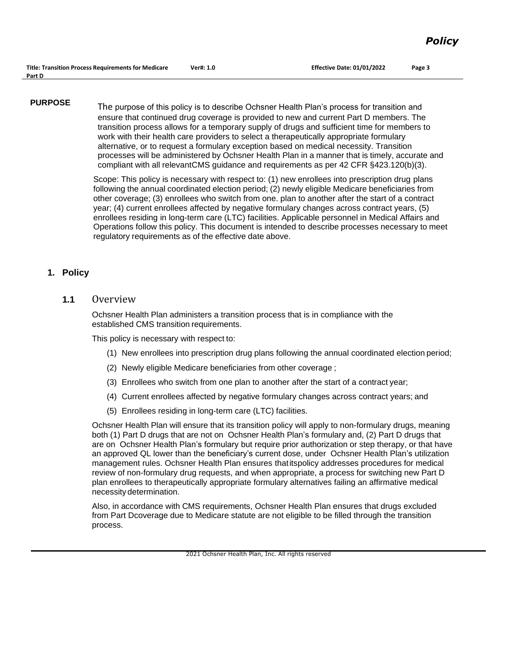**PURPOSE** The purpose of this policy is to describe Ochsner Health Plan's process for transition and ensure that continued drug coverage is provided to new and current Part D members. The transition process allows for a temporary supply of drugs and sufficient time for members to work with their health care providers to select a therapeutically appropriate formulary alternative, or to request a formulary exception based on medical necessity. Transition processes will be administered by Ochsner Health Plan in a manner that is timely, accurate and compliant with all relevantCMS guidance and requirements as per 42 CFR §423.120(b)(3).

> Scope: This policy is necessary with respect to: (1) new enrollees into prescription drug plans following the annual coordinated election period; (2) newly eligible Medicare beneficiaries from other coverage; (3) enrollees who switch from one. plan to another after the start of a contract year; (4) current enrollees affected by negative formulary changes across contract years, (5) enrollees residing in long-term care (LTC) facilities. Applicable personnel in Medical Affairs and Operations follow this policy. This document is intended to describe processes necessary to meet regulatory requirements as of the effective date above.

#### **1. Policy**

**1.1** Overview

Ochsner Health Plan administers a transition process that is in compliance with the established CMS transition requirements.

This policy is necessary with respect to:

- (1) New enrollees into prescription drug plans following the annual coordinated election period;
- (2) Newly eligible Medicare beneficiaries from other coverage ;
- (3) Enrollees who switch from one plan to another after the start of a contract year;
- (4) Current enrollees affected by negative formulary changes across contract years; and
- (5) Enrollees residing in long-term care (LTC) facilities.

Ochsner Health Plan will ensure that its transition policy will apply to non-formulary drugs, meaning both (1) Part D drugs that are not on Ochsner Health Plan's formulary and, (2) Part D drugs that are on Ochsner Health Plan's formulary but require prior authorization or step therapy, or that have an approved QL lower than the beneficiary's current dose, under Ochsner Health Plan's utilization management rules. Ochsner Health Plan ensures thatitspolicy addresses procedures for medical review of non-formulary drug requests, and when appropriate, a process for switching new Part D plan enrollees to therapeutically appropriate formulary alternatives failing an affirmative medical necessity determination.

Also, in accordance with CMS requirements, Ochsner Health Plan ensures that drugs excluded from Part Dcoverage due to Medicare statute are not eligible to be filled through the transition process.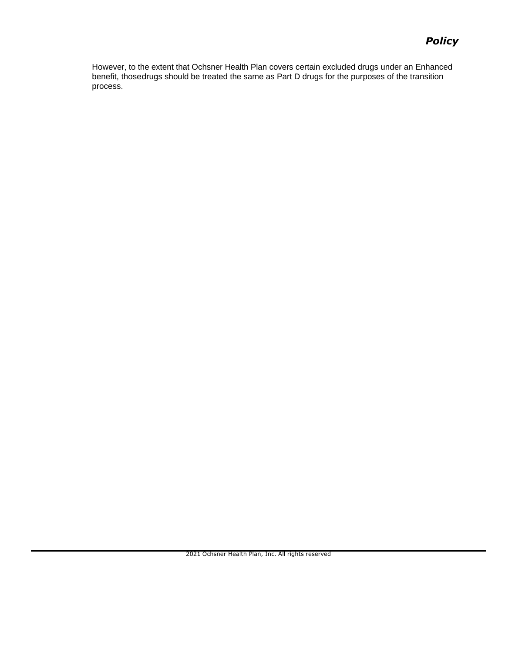# *Policy*

However, to the extent that Ochsner Health Plan covers certain excluded drugs under an Enhanced benefit, thosedrugs should be treated the same as Part D drugs for the purposes of the transition process.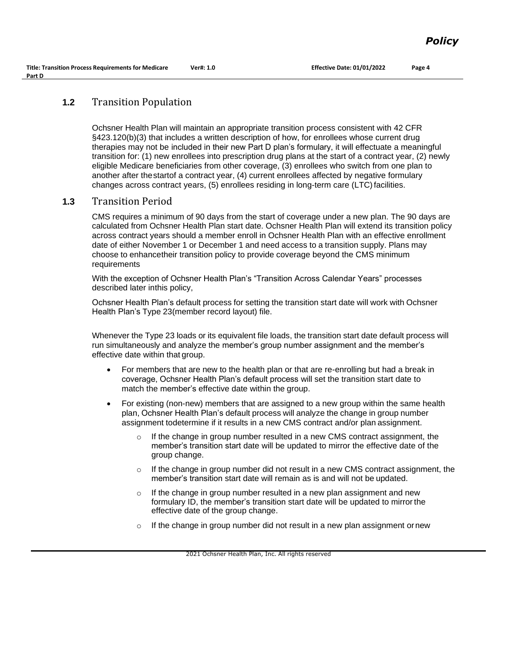# **1.2** Transition Population

Ochsner Health Plan will maintain an appropriate transition process consistent with 42 CFR §423.120(b)(3) that includes a written description of how, for enrollees whose current drug therapies may not be included in their new Part D plan's formulary, it will effectuate a meaningful transition for: (1) new enrollees into prescription drug plans at the start of a contract year, (2) newly eligible Medicare beneficiaries from other coverage, (3) enrollees who switch from one plan to another after thestartof a contract year, (4) current enrollees affected by negative formulary changes across contract years, (5) enrollees residing in long-term care (LTC) facilities.

### **1.3** Transition Period

CMS requires a minimum of 90 days from the start of coverage under a new plan. The 90 days are calculated from Ochsner Health Plan start date. Ochsner Health Plan will extend its transition policy across contract years should a member enroll in Ochsner Health Plan with an effective enrollment date of either November 1 or December 1 and need access to a transition supply. Plans may choose to enhancetheir transition policy to provide coverage beyond the CMS minimum requirements

With the exception of Ochsner Health Plan's "Transition Across Calendar Years" processes described later inthis policy,

Ochsner Health Plan's default process for setting the transition start date will work with Ochsner Health Plan's Type 23(member record layout) file.

Whenever the Type 23 loads or its equivalent file loads, the transition start date default process will run simultaneously and analyze the member's group number assignment and the member's effective date within that group.

- For members that are new to the health plan or that are re-enrolling but had a break in coverage, Ochsner Health Plan's default process will set the transition start date to match the member's effective date within the group.
- For existing (non-new) members that are assigned to a new group within the same health plan, Ochsner Health Plan's default process will analyze the change in group number assignment todetermine if it results in a new CMS contract and/or plan assignment.
	- If the change in group number resulted in a new CMS contract assignment, the member's transition start date will be updated to mirror the effective date of the group change.
	- $\circ$  If the change in group number did not result in a new CMS contract assignment, the member's transition start date will remain as is and will not be updated.
	- $\circ$  If the change in group number resulted in a new plan assignment and new formulary ID, the member's transition start date will be updated to mirrorthe effective date of the group change.
	- o If the change in group number did not result in a new plan assignment ornew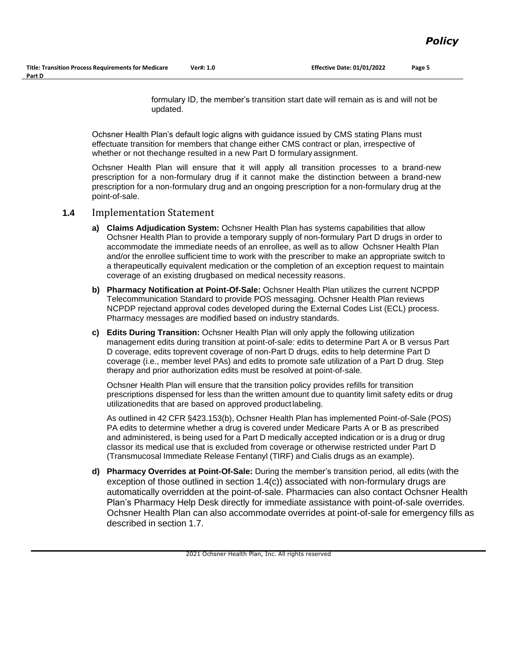formulary ID, the member's transition start date will remain as is and will not be updated.

Ochsner Health Plan's default logic aligns with guidance issued by CMS stating Plans must effectuate transition for members that change either CMS contract or plan, irrespective of whether or not thechange resulted in a new Part D formulary assignment.

Ochsner Health Plan will ensure that it will apply all transition processes to a brand-new prescription for a non-formulary drug if it cannot make the distinction between a brand-new prescription for a non-formulary drug and an ongoing prescription for a non-formulary drug at the point-of-sale.

#### **1.4** Implementation Statement

- **a) Claims Adjudication System:** Ochsner Health Plan has systems capabilities that allow Ochsner Health Plan to provide a temporary supply of non-formulary Part D drugs in order to accommodate the immediate needs of an enrollee, as well as to allow Ochsner Health Plan and/or the enrollee sufficient time to work with the prescriber to make an appropriate switch to a therapeutically equivalent medication or the completion of an exception request to maintain coverage of an existing drugbased on medical necessity reasons.
- **b) Pharmacy Notification at Point-Of-Sale:** Ochsner Health Plan utilizes the current NCPDP Telecommunication Standard to provide POS messaging. Ochsner Health Plan reviews NCPDP rejectand approval codes developed during the External Codes List (ECL) process. Pharmacy messages are modified based on industry standards.
- **c) Edits During Transition:** Ochsner Health Plan will only apply the following utilization management edits during transition at point-of-sale: edits to determine Part A or B versus Part D coverage, edits toprevent coverage of non-Part D drugs, edits to help determine Part D coverage (i.e., member level PAs) and edits to promote safe utilization of a Part D drug. Step therapy and prior authorization edits must be resolved at point-of-sale.

Ochsner Health Plan will ensure that the transition policy provides refills for transition prescriptions dispensed for less than the written amount due to quantity limit safety edits or drug utilizationedits that are based on approved productlabeling.

As outlined in 42 CFR §423.153(b), Ochsner Health Plan has implemented Point-of-Sale (POS) PA edits to determine whether a drug is covered under Medicare Parts A or B as prescribed and administered, is being used for a Part D medically accepted indication or is a drug or drug classor its medical use that is excluded from coverage or otherwise restricted under Part D (Transmucosal Immediate Release Fentanyl (TIRF) and Cialis drugs as an example).

**d) Pharmacy Overrides at Point-Of-Sale:** During the member's transition period, all edits (with the exception of those outlined in section 1.4(c)) associated with non-formulary drugs are automatically overridden at the point-of-sale. Pharmacies can also contact Ochsner Health Plan's Pharmacy Help Desk directly for immediate assistance with point-of-sale overrides. Ochsner Health Plan can also accommodate overrides at point-of-sale for emergency fills as described in section 1.7.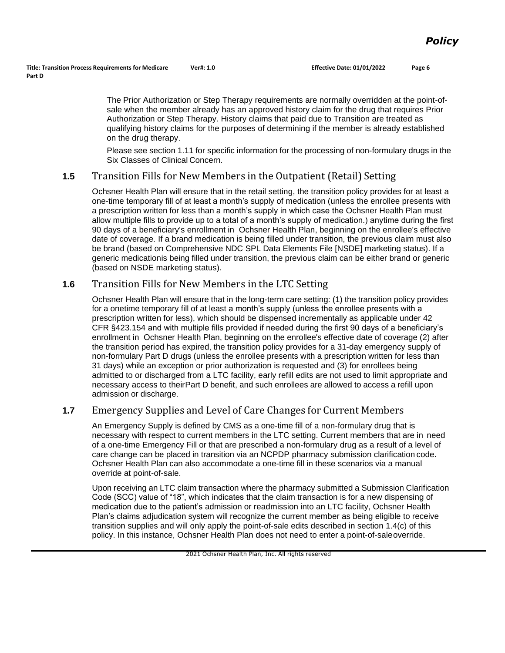The Prior Authorization or Step Therapy requirements are normally overridden at the point-ofsale when the member already has an approved history claim for the drug that requires Prior Authorization or Step Therapy. History claims that paid due to Transition are treated as qualifying history claims for the purposes of determining if the member is already established on the drug therapy.

Please see section 1.11 for specific information for the processing of non-formulary drugs in the Six Classes of Clinical Concern.

## **1.5** Transition Fills for New Members in the Outpatient (Retail) Setting

Ochsner Health Plan will ensure that in the retail setting, the transition policy provides for at least a one-time temporary fill of at least a month's supply of medication (unless the enrollee presents with a prescription written for less than a month's supply in which case the Ochsner Health Plan must allow multiple fills to provide up to a total of a month's supply of medication.) anytime during the first 90 days of a beneficiary's enrollment in Ochsner Health Plan, beginning on the enrollee's effective date of coverage. If a brand medication is being filled under transition, the previous claim must also be brand (based on Comprehensive NDC SPL Data Elements File [NSDE] marketing status). If a generic medicationis being filled under transition, the previous claim can be either brand or generic (based on NSDE marketing status).

### **1.6** Transition Fills for New Members in the LTC Setting

Ochsner Health Plan will ensure that in the long-term care setting: (1) the transition policy provides for a onetime temporary fill of at least a month's supply (unless the enrollee presents with a prescription written for less), which should be dispensed incrementally as applicable under 42 CFR §423.154 and with multiple fills provided if needed during the first 90 days of a beneficiary's enrollment in Ochsner Health Plan, beginning on the enrollee's effective date of coverage (2) after the transition period has expired, the transition policy provides for a 31-day emergency supply of non-formulary Part D drugs (unless the enrollee presents with a prescription written for less than 31 days) while an exception or prior authorization is requested and (3) for enrollees being admitted to or discharged from a LTC facility, early refill edits are not used to limit appropriate and necessary access to theirPart D benefit, and such enrollees are allowed to access a refill upon admission or discharge.

# **1.7** Emergency Supplies and Level of Care Changes for Current Members

An Emergency Supply is defined by CMS as a one-time fill of a non-formulary drug that is necessary with respect to current members in the LTC setting. Current members that are in need of a one-time Emergency Fill or that are prescribed a non-formulary drug as a result of a level of care change can be placed in transition via an NCPDP pharmacy submission clarification code. Ochsner Health Plan can also accommodate a one-time fill in these scenarios via a manual override at point-of-sale.

Upon receiving an LTC claim transaction where the pharmacy submitted a Submission Clarification Code (SCC) value of "18", which indicates that the claim transaction is for a new dispensing of medication due to the patient's admission or readmission into an LTC facility, Ochsner Health Plan's claims adjudication system will recognize the current member as being eligible to receive transition supplies and will only apply the point-of-sale edits described in section 1.4(c) of this policy. In this instance, Ochsner Health Plan does not need to enter a point-of-saleoverride.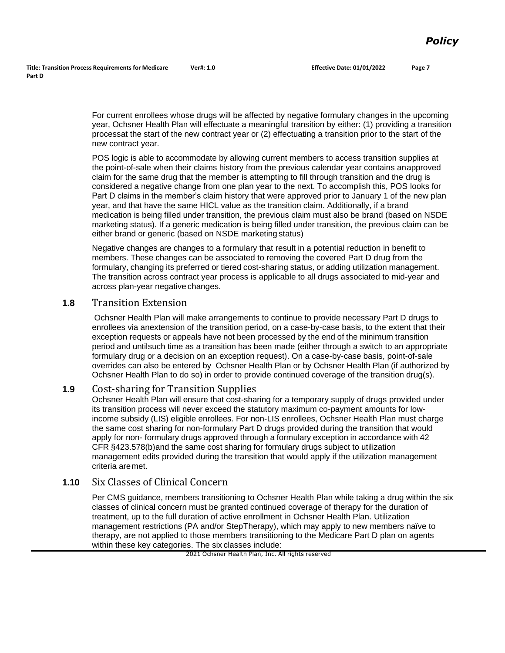For current enrollees whose drugs will be affected by negative formulary changes in the upcoming year, Ochsner Health Plan will effectuate a meaningful transition by either: (1) providing a transition processat the start of the new contract year or (2) effectuating a transition prior to the start of the new contract year.

POS logic is able to accommodate by allowing current members to access transition supplies at the point-of-sale when their claims history from the previous calendar year contains an approved claim for the same drug that the member is attempting to fill through transition and the drug is considered a negative change from one plan year to the next. To accomplish this, POS looks for Part D claims in the member's claim history that were approved prior to January 1 of the new plan year, and that have the same HICL value as the transition claim. Additionally, if a brand medication is being filled under transition, the previous claim must also be brand (based on NSDE marketing status). If a generic medication is being filled under transition, the previous claim can be either brand or generic (based on NSDE marketing status)

Negative changes are changes to a formulary that result in a potential reduction in benefit to members. These changes can be associated to removing the covered Part D drug from the formulary, changing its preferred or tiered cost-sharing status, or adding utilization management. The transition across contract year process is applicable to all drugs associated to mid-year and across plan-year negative changes.

#### **1.8** Transition Extension

Ochsner Health Plan will make arrangements to continue to provide necessary Part D drugs to enrollees via anextension of the transition period, on a case-by-case basis, to the extent that their exception requests or appeals have not been processed by the end of the minimum transition period and untilsuch time as a transition has been made (either through a switch to an appropriate formulary drug or a decision on an exception request). On a case-by-case basis, point-of-sale overrides can also be entered by Ochsner Health Plan or by Ochsner Health Plan (if authorized by Ochsner Health Plan to do so) in order to provide continued coverage of the transition drug(s).

### **1.9** Cost-sharing for Transition Supplies

Ochsner Health Plan will ensure that cost-sharing for a temporary supply of drugs provided under its transition process will never exceed the statutory maximum co-payment amounts for lowincome subsidy (LIS) eligible enrollees. For non-LIS enrollees, Ochsner Health Plan must charge the same cost sharing for non-formulary Part D drugs provided during the transition that would apply for non- formulary drugs approved through a formulary exception in accordance with 42 CFR §423.578(b)and the same cost sharing for formulary drugs subject to utilization management edits provided during the transition that would apply if the utilization management criteria aremet.

### **1.10** Six Classes of Clinical Concern

Per CMS guidance, members transitioning to Ochsner Health Plan while taking a drug within the six classes of clinical concern must be granted continued coverage of therapy for the duration of treatment, up to the full duration of active enrollment in Ochsner Health Plan. Utilization management restrictions (PA and/or StepTherapy), which may apply to new members naïve to therapy, are not applied to those members transitioning to the Medicare Part D plan on agents within these key categories. The six classes include: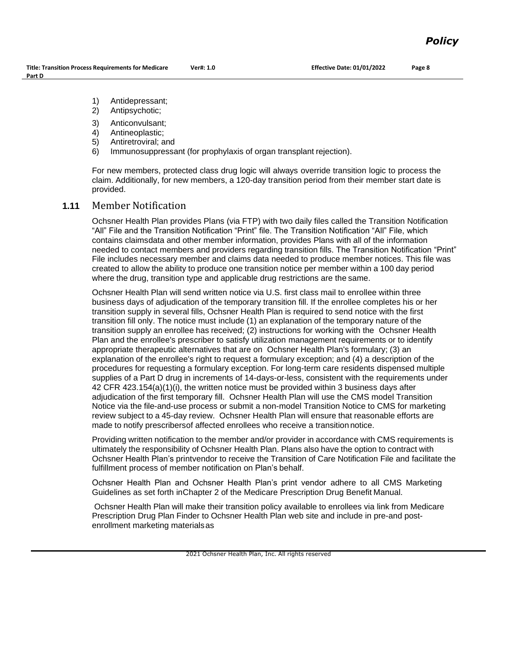- 1) Antidepressant;
- 2) Antipsychotic;
- 3) Anticonvulsant;
- 4) Antineoplastic;
- 5) Antiretroviral; and
- 6) Immunosuppressant (for prophylaxis of organ transplant rejection).

For new members, protected class drug logic will always override transition logic to process the claim. Additionally, for new members, a 120-day transition period from their member start date is provided.

#### **1.11** Member Notification

Ochsner Health Plan provides Plans (via FTP) with two daily files called the Transition Notification "All" File and the Transition Notification "Print" file. The Transition Notification "All" File, which contains claimsdata and other member information, provides Plans with all of the information needed to contact members and providers regarding transition fills. The Transition Notification "Print" File includes necessary member and claims data needed to produce member notices. This file was created to allow the ability to produce one transition notice per member within a 100 day period where the drug, transition type and applicable drug restrictions are the same.

Ochsner Health Plan will send written notice via U.S. first class mail to enrollee within three business days of adjudication of the temporary transition fill. If the enrollee completes his or her transition supply in several fills, Ochsner Health Plan is required to send notice with the first transition fill only. The notice must include (1) an explanation of the temporary nature of the transition supply an enrollee has received; (2) instructions for working with the Ochsner Health Plan and the enrollee's prescriber to satisfy utilization management requirements or to identify appropriate therapeutic alternatives that are on Ochsner Health Plan's formulary; (3) an explanation of the enrollee's right to request a formulary exception; and (4) a description of the procedures for requesting a formulary exception. For long-term care residents dispensed multiple supplies of a Part D drug in increments of 14-days-or-less, consistent with the requirements under 42 CFR 423.154(a)(1)(i), the written notice must be provided within 3 business days after adjudication of the first temporary fill. Ochsner Health Plan will use the CMS model Transition Notice via the file-and-use process or submit a non-model Transition Notice to CMS for marketing review subject to a 45-day review. Ochsner Health Plan will ensure that reasonable efforts are made to notify prescribersof affected enrollees who receive a transition notice.

Providing written notification to the member and/or provider in accordance with CMS requirements is ultimately the responsibility of Ochsner Health Plan. Plans also have the option to contract with Ochsner Health Plan's printvendor to receive the Transition of Care Notification File and facilitate the fulfillment process of member notification on Plan's behalf.

Ochsner Health Plan and Ochsner Health Plan's print vendor adhere to all CMS Marketing Guidelines as set forth inChapter 2 of the Medicare Prescription Drug Benefit Manual.

Ochsner Health Plan will make their transition policy available to enrollees via link from Medicare Prescription Drug Plan Finder to Ochsner Health Plan web site and include in pre-and postenrollment marketing materialsas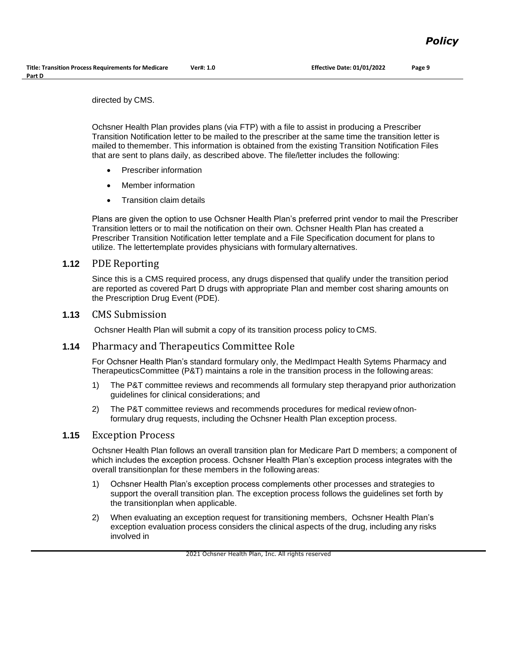directed by CMS.

Ochsner Health Plan provides plans (via FTP) with a file to assist in producing a Prescriber Transition Notification letter to be mailed to the prescriber at the same time the transition letter is mailed to themember. This information is obtained from the existing Transition Notification Files that are sent to plans daily, as described above. The file/letter includes the following:

- Prescriber information
- Member information
- Transition claim details

Plans are given the option to use Ochsner Health Plan's preferred print vendor to mail the Prescriber Transition letters or to mail the notification on their own. Ochsner Health Plan has created a Prescriber Transition Notification letter template and a File Specification document for plans to utilize. The lettertemplate provides physicians with formulary alternatives.

#### **1.12** PDE Reporting

Since this is a CMS required process, any drugs dispensed that qualify under the transition period are reported as covered Part D drugs with appropriate Plan and member cost sharing amounts on the Prescription Drug Event (PDE).

#### **1.13** CMS Submission

Ochsner Health Plan will submit a copy of its transition process policy to CMS.

#### **1.14** Pharmacy and Therapeutics Committee Role

For Ochsner Health Plan's standard formulary only, the MedImpact Health Sytems Pharmacy and TherapeuticsCommittee (P&T) maintains a role in the transition process in the following areas:

- 1) The P&T committee reviews and recommends all formulary step therapyand prior authorization guidelines for clinical considerations; and
- 2) The P&T committee reviews and recommends procedures for medical review ofnonformulary drug requests, including the Ochsner Health Plan exception process.

#### **1.15** Exception Process

Ochsner Health Plan follows an overall transition plan for Medicare Part D members; a component of which includes the exception process. Ochsner Health Plan's exception process integrates with the overall transitionplan for these members in the following areas:

- 1) Ochsner Health Plan's exception process complements other processes and strategies to support the overall transition plan. The exception process follows the guidelines set forth by the transitionplan when applicable.
- 2) When evaluating an exception request for transitioning members, Ochsner Health Plan's exception evaluation process considers the clinical aspects of the drug, including any risks involved in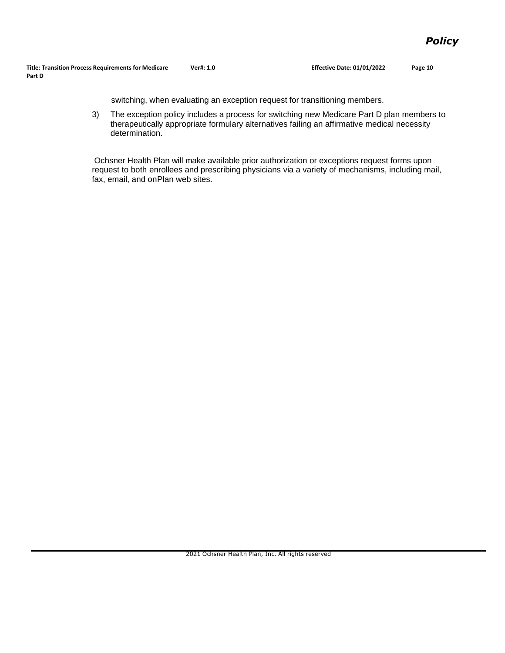switching, when evaluating an exception request for transitioning members.

3) The exception policy includes a process for switching new Medicare Part D plan members to therapeutically appropriate formulary alternatives failing an affirmative medical necessity determination.

Ochsner Health Plan will make available prior authorization or exceptions request forms upon request to both enrollees and prescribing physicians via a variety of mechanisms, including mail, fax, email, and onPlan web sites.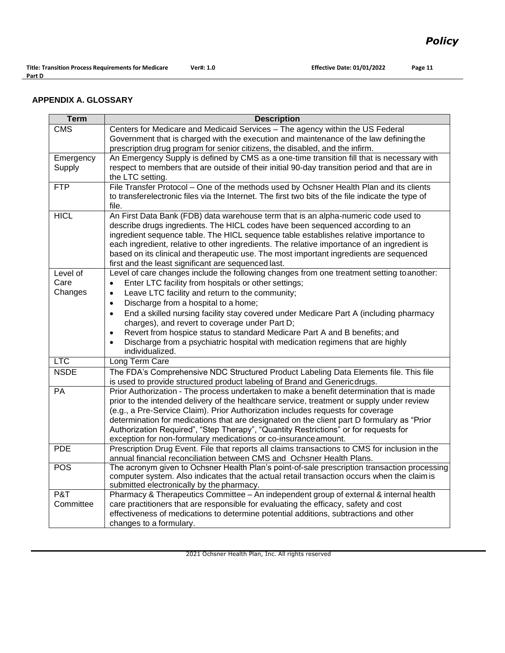### **APPENDIX A. GLOSSARY**

| <b>Term</b> | <b>Description</b>                                                                                                                                |
|-------------|---------------------------------------------------------------------------------------------------------------------------------------------------|
| <b>CMS</b>  | Centers for Medicare and Medicaid Services - The agency within the US Federal                                                                     |
|             | Government that is charged with the execution and maintenance of the law defining the                                                             |
|             | prescription drug program for senior citizens, the disabled, and the infirm.                                                                      |
| Emergency   | An Emergency Supply is defined by CMS as a one-time transition fill that is necessary with                                                        |
| Supply      | respect to members that are outside of their initial 90-day transition period and that are in                                                     |
|             | the LTC setting.                                                                                                                                  |
| <b>FTP</b>  | File Transfer Protocol - One of the methods used by Ochsner Health Plan and its clients                                                           |
|             | to transferelectronic files via the Internet. The first two bits of the file indicate the type of                                                 |
|             | file.                                                                                                                                             |
| <b>HICL</b> | An First Data Bank (FDB) data warehouse term that is an alpha-numeric code used to                                                                |
|             | describe drugs ingredients. The HICL codes have been sequenced according to an                                                                    |
|             | ingredient sequence table. The HICL sequence table establishes relative importance to                                                             |
|             | each ingredient, relative to other ingredients. The relative importance of an ingredient is                                                       |
|             | based on its clinical and therapeutic use. The most important ingredients are sequenced                                                           |
| Level of    | first and the least significant are sequenced last.<br>Level of care changes include the following changes from one treatment setting to another: |
| Care        | Enter LTC facility from hospitals or other settings;<br>$\bullet$                                                                                 |
| Changes     | Leave LTC facility and return to the community;<br>$\bullet$                                                                                      |
|             |                                                                                                                                                   |
|             | Discharge from a hospital to a home;<br>$\bullet$                                                                                                 |
|             | End a skilled nursing facility stay covered under Medicare Part A (including pharmacy<br>$\bullet$                                                |
|             | charges), and revert to coverage under Part D;<br>Revert from hospice status to standard Medicare Part A and B benefits; and<br>$\bullet$         |
|             | Discharge from a psychiatric hospital with medication regimens that are highly<br>$\bullet$                                                       |
|             | individualized.                                                                                                                                   |
| <b>LTC</b>  | Long Term Care                                                                                                                                    |
| <b>NSDE</b> | The FDA's Comprehensive NDC Structured Product Labeling Data Elements file. This file                                                             |
|             | is used to provide structured product labeling of Brand and Genericdrugs.                                                                         |
| PA          | Prior Authorization - The process undertaken to make a benefit determination that is made                                                         |
|             | prior to the intended delivery of the healthcare service, treatment or supply under review                                                        |
|             | (e.g., a Pre-Service Claim). Prior Authorization includes requests for coverage                                                                   |
|             | determination for medications that are designated on the client part D formulary as "Prior                                                        |
|             | Authorization Required", "Step Therapy", "Quantity Restrictions" or for requests for                                                              |
|             | exception for non-formulary medications or co-insurance amount.                                                                                   |
| <b>PDE</b>  | Prescription Drug Event. File that reports all claims transactions to CMS for inclusion in the                                                    |
|             | annual financial reconciliation between CMS and Ochsner Health Plans.                                                                             |
| <b>POS</b>  | The acronym given to Ochsner Health Plan's point-of-sale prescription transaction processing                                                      |
|             | computer system. Also indicates that the actual retail transaction occurs when the claim is                                                       |
|             | submitted electronically by the pharmacy.                                                                                                         |
| P&T         | Pharmacy & Therapeutics Committee - An independent group of external & internal health                                                            |
| Committee   | care practitioners that are responsible for evaluating the efficacy, safety and cost                                                              |
|             | effectiveness of medications to determine potential additions, subtractions and other                                                             |
|             | changes to a formulary.                                                                                                                           |